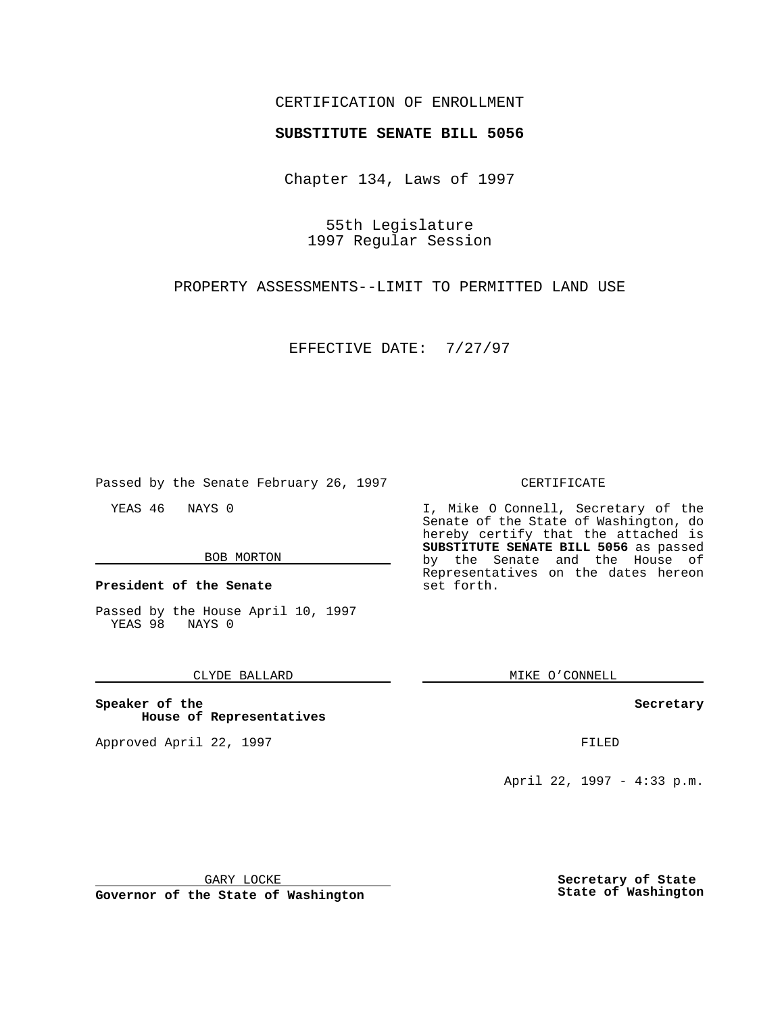## CERTIFICATION OF ENROLLMENT

# **SUBSTITUTE SENATE BILL 5056**

Chapter 134, Laws of 1997

55th Legislature 1997 Regular Session

PROPERTY ASSESSMENTS--LIMIT TO PERMITTED LAND USE

EFFECTIVE DATE: 7/27/97

Passed by the Senate February 26, 1997

YEAS 46 NAYS 0

#### BOB MORTON

**President of the Senate**

Passed by the House April 10, 1997 YEAS 98 NAYS 0

CLYDE BALLARD

**Speaker of the House of Representatives**

Approved April 22, 1997 **FILED** 

#### CERTIFICATE

I, Mike O Connell, Secretary of the Senate of the State of Washington, do hereby certify that the attached is **SUBSTITUTE SENATE BILL 5056** as passed by the Senate and the House of Representatives on the dates hereon set forth.

MIKE O'CONNELL

### **Secretary**

April 22, 1997 - 4:33 p.m.

GARY LOCKE

**Governor of the State of Washington**

**Secretary of State State of Washington**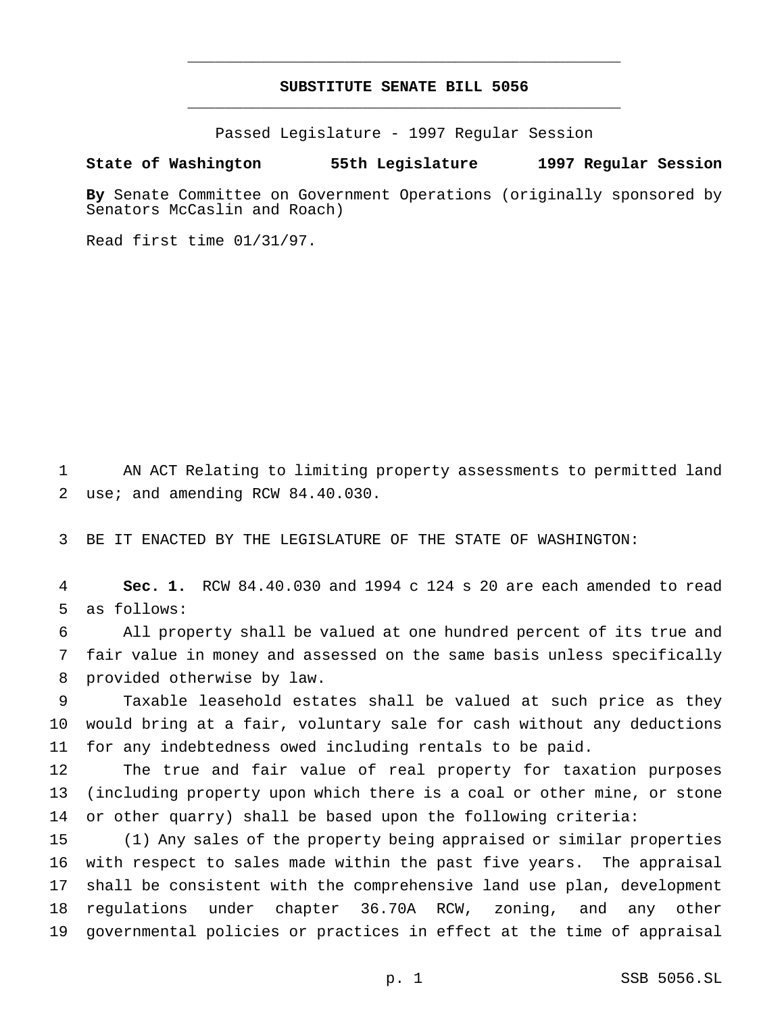# **SUBSTITUTE SENATE BILL 5056** \_\_\_\_\_\_\_\_\_\_\_\_\_\_\_\_\_\_\_\_\_\_\_\_\_\_\_\_\_\_\_\_\_\_\_\_\_\_\_\_\_\_\_\_\_\_\_

\_\_\_\_\_\_\_\_\_\_\_\_\_\_\_\_\_\_\_\_\_\_\_\_\_\_\_\_\_\_\_\_\_\_\_\_\_\_\_\_\_\_\_\_\_\_\_

Passed Legislature - 1997 Regular Session

### **State of Washington 55th Legislature 1997 Regular Session**

**By** Senate Committee on Government Operations (originally sponsored by Senators McCaslin and Roach)

Read first time 01/31/97.

 AN ACT Relating to limiting property assessments to permitted land use; and amending RCW 84.40.030.

BE IT ENACTED BY THE LEGISLATURE OF THE STATE OF WASHINGTON:

 **Sec. 1.** RCW 84.40.030 and 1994 c 124 s 20 are each amended to read as follows:

 All property shall be valued at one hundred percent of its true and fair value in money and assessed on the same basis unless specifically provided otherwise by law.

 Taxable leasehold estates shall be valued at such price as they would bring at a fair, voluntary sale for cash without any deductions for any indebtedness owed including rentals to be paid.

 The true and fair value of real property for taxation purposes (including property upon which there is a coal or other mine, or stone or other quarry) shall be based upon the following criteria:

 (1) Any sales of the property being appraised or similar properties with respect to sales made within the past five years. The appraisal shall be consistent with the comprehensive land use plan, development regulations under chapter 36.70A RCW, zoning, and any other governmental policies or practices in effect at the time of appraisal